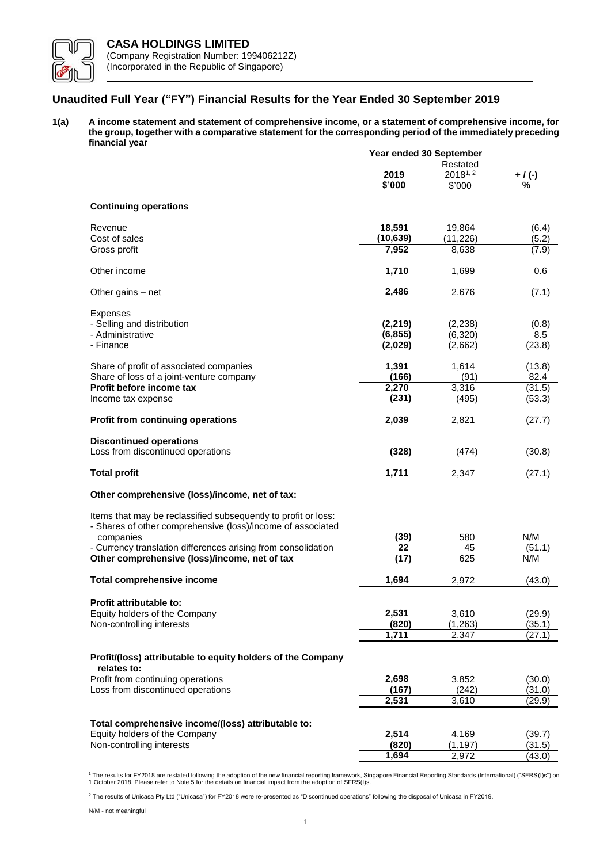

# **Unaudited Full Year ("FY") Financial Results for the Year Ended 30 September 2019**

**1(a) A income statement and statement of comprehensive income, or a statement of comprehensive income, for the group, together with a comparative statement for the corresponding period of the immediately preceding financial year**

|                                                                                                                               | Year ended 30 September |                        |                |  |
|-------------------------------------------------------------------------------------------------------------------------------|-------------------------|------------------------|----------------|--|
|                                                                                                                               |                         | Restated               |                |  |
|                                                                                                                               | 2019<br>\$'000          | $2018^{1,2}$<br>\$'000 | $+ / (-)$<br>% |  |
| <b>Continuing operations</b>                                                                                                  |                         |                        |                |  |
| Revenue                                                                                                                       | 18,591                  | 19,864                 | (6.4)          |  |
| Cost of sales                                                                                                                 | (10, 639)               | (11, 226)              | (5.2)          |  |
| Gross profit                                                                                                                  | 7,952                   | 8,638                  | (7.9)          |  |
| Other income                                                                                                                  | 1,710                   | 1,699                  | 0.6            |  |
| Other gains – net                                                                                                             | 2,486                   | 2,676                  | (7.1)          |  |
| Expenses                                                                                                                      |                         |                        |                |  |
| - Selling and distribution                                                                                                    | (2, 219)                | (2,238)                | (0.8)          |  |
| - Administrative                                                                                                              | (6, 855)                | (6,320)                | 8.5            |  |
| - Finance                                                                                                                     | (2,029)                 | (2,662)                | (23.8)         |  |
|                                                                                                                               |                         |                        |                |  |
| Share of profit of associated companies                                                                                       | 1,391                   | 1,614                  | (13.8)         |  |
| Share of loss of a joint-venture company                                                                                      | (166)                   | (91)                   | 82.4           |  |
| Profit before income tax                                                                                                      | 2,270                   | 3,316                  | (31.5)         |  |
| Income tax expense                                                                                                            | (231)                   | (495)                  | (53.3)         |  |
| Profit from continuing operations                                                                                             | 2,039                   | 2,821                  | (27.7)         |  |
| <b>Discontinued operations</b>                                                                                                |                         |                        |                |  |
| Loss from discontinued operations                                                                                             | (328)                   | (474)                  | (30.8)         |  |
| <b>Total profit</b>                                                                                                           | 1,711                   | 2,347                  | (27.1)         |  |
| Other comprehensive (loss)/income, net of tax:                                                                                |                         |                        |                |  |
| Items that may be reclassified subsequently to profit or loss:<br>- Shares of other comprehensive (loss)/income of associated |                         |                        |                |  |
| companies                                                                                                                     | (39)                    | 580                    | N/M            |  |
| - Currency translation differences arising from consolidation                                                                 | 22                      | 45                     | (51.1)         |  |
| Other comprehensive (loss)/income, net of tax                                                                                 | (17)                    | 625                    | N/M            |  |
|                                                                                                                               |                         |                        |                |  |
| <b>Total comprehensive income</b>                                                                                             | 1,694                   | 2,972                  | (43.0)         |  |
| <b>Profit attributable to:</b>                                                                                                |                         |                        |                |  |
| Equity holders of the Company                                                                                                 | 2,531                   | 3,610                  | (29.9)         |  |
| Non-controlling interests                                                                                                     | (820)                   | (1, 263)               | (35.1)         |  |
|                                                                                                                               | 1,711                   | 2,347                  | (27.1)         |  |
|                                                                                                                               |                         |                        |                |  |
| Profit/(loss) attributable to equity holders of the Company<br>relates to:                                                    |                         |                        |                |  |
| Profit from continuing operations                                                                                             | 2,698                   | 3,852                  | (30.0)         |  |
| Loss from discontinued operations                                                                                             | (167)                   | (242)                  | (31.0)         |  |
|                                                                                                                               | 2,531                   | 3,610                  | (29.9)         |  |
|                                                                                                                               |                         |                        |                |  |
| Total comprehensive income/(loss) attributable to:                                                                            |                         |                        |                |  |
| Equity holders of the Company                                                                                                 | 2,514                   | 4,169                  | (39.7)         |  |
| Non-controlling interests                                                                                                     | (820)                   | (1, 197)               | (31.5)         |  |
|                                                                                                                               | 1,694                   | 2,972                  | (43.0)         |  |

<sup>1</sup> The results for FY2018 are restated following the adoption of the new financial reporting framework, Singapore Financial Reporting Standards (International) ("SFRS(I)s") on<br>1 October 2018. Please refer to Note 5 for th

<sup>2</sup> The results of Unicasa Pty Ltd ("Unicasa") for FY2018 were re-presented as "Discontinued operations" following the disposal of Unicasa in FY2019.

N/M - not meaningful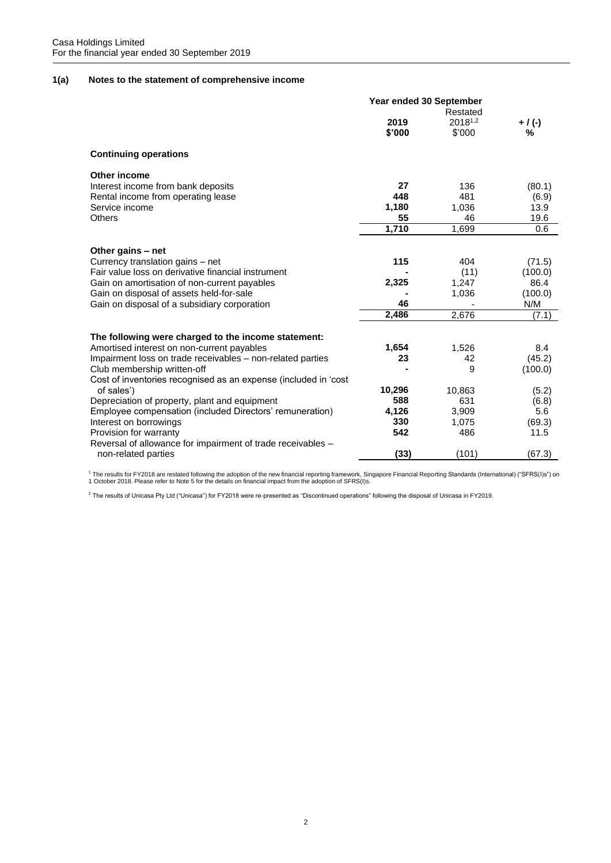# **1(a) Notes to the statement of comprehensive income**

|                                                                 | Year ended 30 September |                     |           |  |
|-----------------------------------------------------------------|-------------------------|---------------------|-----------|--|
|                                                                 |                         | Restated            |           |  |
|                                                                 | 2019                    | 2018 <sup>1,2</sup> | $+ / (-)$ |  |
|                                                                 | \$'000                  | \$'000              | ℅         |  |
| <b>Continuing operations</b>                                    |                         |                     |           |  |
| <b>Other income</b>                                             |                         |                     |           |  |
| Interest income from bank deposits                              | 27                      | 136                 | (80.1)    |  |
| Rental income from operating lease                              | 448                     | 481                 | (6.9)     |  |
| Service income                                                  | 1,180                   | 1,036               | 13.9      |  |
| <b>Others</b>                                                   | 55                      | 46                  | 19.6      |  |
|                                                                 | 1,710                   | 1.699               | 0.6       |  |
| Other gains - net                                               |                         |                     |           |  |
| Currency translation gains - net                                | 115                     | 404                 | (71.5)    |  |
| Fair value loss on derivative financial instrument              |                         | (11)                | (100.0)   |  |
| Gain on amortisation of non-current payables                    | 2,325                   | 1,247               | 86.4      |  |
| Gain on disposal of assets held-for-sale                        |                         | 1,036               | (100.0)   |  |
| Gain on disposal of a subsidiary corporation                    | 46                      |                     | N/M       |  |
|                                                                 | 2,486                   | 2,676               | (7.1)     |  |
|                                                                 |                         |                     |           |  |
| The following were charged to the income statement:             |                         |                     |           |  |
| Amortised interest on non-current payables                      | 1,654                   | 1,526               | 8.4       |  |
| Impairment loss on trade receivables - non-related parties      | 23                      | 42                  | (45.2)    |  |
| Club membership written-off                                     |                         | 9                   | (100.0)   |  |
| Cost of inventories recognised as an expense (included in 'cost |                         |                     |           |  |
| of sales')                                                      | 10,296                  | 10,863              | (5.2)     |  |
| Depreciation of property, plant and equipment                   | 588                     | 631                 | (6.8)     |  |
| Employee compensation (included Directors' remuneration)        | 4,126                   | 3,909               | 5.6       |  |
| Interest on borrowings                                          | 330                     | 1,075               | (69.3)    |  |
| Provision for warranty                                          | 542                     | 486                 | 11.5      |  |
| Reversal of allowance for impairment of trade receivables -     |                         |                     |           |  |
| non-related parties                                             | (33)                    | (101)               | (67.3)    |  |

<sup>1</sup> The results for FY2018 are restated following the adoption of the new financial reporting framework, Singapore Financial Reporting Standards (International) ("SFRS(I)s") on<br>1 October 2018. Please refer to Note 5 for th

<sup>2</sup> The results of Unicasa Pty Ltd ("Unicasa") for FY2018 were re-presented as "Discontinued operations" following the disposal of Unicasa in FY2019.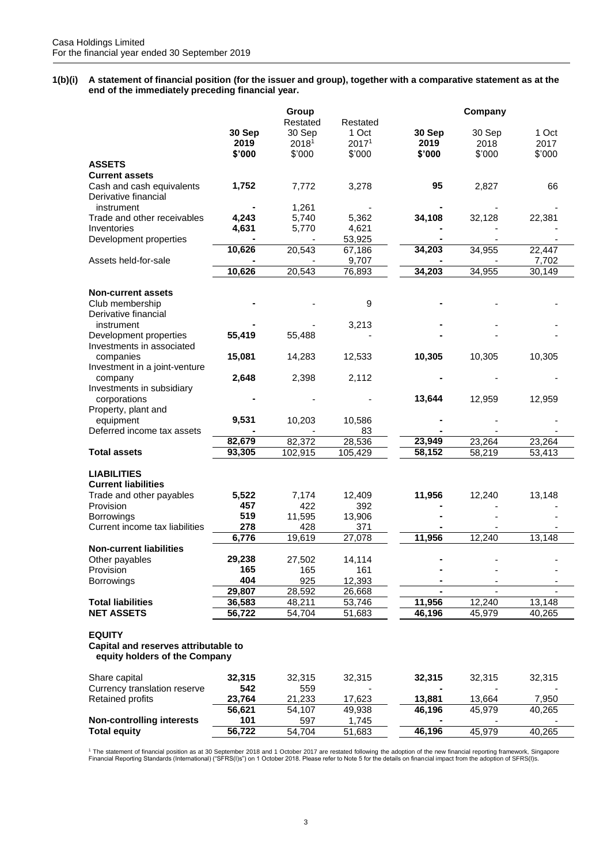**1(b)(i) A statement of financial position (for the issuer and group), together with a comparative statement as at the end of the immediately preceding financial year.**

|                                                                                        |        | Group<br>Restated | Restated        |                | Company        |                 |
|----------------------------------------------------------------------------------------|--------|-------------------|-----------------|----------------|----------------|-----------------|
|                                                                                        | 30 Sep | 30 Sep            | 1 Oct           | 30 Sep         | 30 Sep         | 1 Oct           |
|                                                                                        | 2019   | 20181             | 20171           | 2019           | 2018           | 2017            |
|                                                                                        | \$'000 | \$'000            | \$'000          | \$'000         | \$'000         | \$'000          |
| <b>ASSETS</b>                                                                          |        |                   |                 |                |                |                 |
|                                                                                        |        |                   |                 |                |                |                 |
| <b>Current assets</b>                                                                  |        |                   |                 |                |                |                 |
| Cash and cash equivalents                                                              | 1,752  | 7,772             | 3,278           | 95             | 2,827          | 66              |
| Derivative financial<br>instrument                                                     |        |                   |                 |                |                |                 |
|                                                                                        | 4,243  | 1,261             | 5,362           | 34,108         |                |                 |
| Trade and other receivables                                                            |        | 5,740             |                 |                | 32,128         | 22,381          |
| Inventories                                                                            | 4,631  | 5,770             | 4,621           |                |                |                 |
| Development properties                                                                 |        |                   | 53,925          |                |                |                 |
|                                                                                        | 10,626 | 20,543            | 67,186          | 34,203         | 34,955         | 22,447          |
| Assets held-for-sale                                                                   | 10,626 | 20,543            | 9,707<br>76,893 | 34,203         | 34,955         | 7,702<br>30,149 |
|                                                                                        |        |                   |                 |                |                |                 |
| <b>Non-current assets</b>                                                              |        |                   |                 |                |                |                 |
| Club membership                                                                        |        |                   | 9               |                |                |                 |
| Derivative financial                                                                   |        |                   |                 |                |                |                 |
| instrument                                                                             |        |                   | 3,213           |                |                |                 |
| Development properties                                                                 | 55,419 | 55,488            |                 |                |                |                 |
| Investments in associated                                                              |        |                   |                 |                |                |                 |
| companies                                                                              | 15,081 | 14,283            | 12,533          | 10,305         | 10,305         | 10,305          |
| Investment in a joint-venture                                                          |        |                   |                 |                |                |                 |
| company                                                                                | 2,648  | 2,398             | 2,112           |                |                |                 |
| Investments in subsidiary                                                              |        |                   |                 |                |                |                 |
| corporations                                                                           |        |                   |                 | 13,644         | 12,959         | 12,959          |
| Property, plant and                                                                    |        |                   |                 |                |                |                 |
| equipment                                                                              | 9,531  | 10,203            | 10,586          |                |                |                 |
| Deferred income tax assets                                                             |        |                   | 83              |                |                |                 |
|                                                                                        | 82,679 | 82,372            | 28,536          | 23,949         | 23,264         | 23,264          |
| <b>Total assets</b>                                                                    | 93,305 | 102,915           | 105,429         | 58,152         | 58,219         | 53,413          |
|                                                                                        |        |                   |                 |                |                |                 |
| <b>LIABILITIES</b>                                                                     |        |                   |                 |                |                |                 |
| <b>Current liabilities</b>                                                             |        |                   |                 |                |                |                 |
| Trade and other payables                                                               | 5,522  | 7,174             | 12,409          | 11,956         | 12,240         | 13,148          |
| Provision                                                                              | 457    | 422               | 392             |                |                |                 |
| <b>Borrowings</b>                                                                      | 519    | 11,595            | 13,906          |                |                |                 |
| Current income tax liabilities                                                         | 278    | 428               | 371             |                |                |                 |
|                                                                                        | 6,776  | 19,619            | 27,078          | 11,956         | 12,240         | 13,148          |
| <b>Non-current liabilities</b>                                                         |        |                   |                 |                |                |                 |
| Other payables                                                                         | 29,238 | 27,502            | 14,114          |                |                |                 |
| Provision                                                                              | 165    | 165               | 161             |                |                |                 |
| <b>Borrowings</b>                                                                      | 404    | 925               | 12,393          |                |                |                 |
|                                                                                        | 29,807 | 28,592            | 26,668          | $\blacksquare$ | $\blacksquare$ |                 |
| <b>Total liabilities</b>                                                               | 36,583 | 48,211            | 53,746          | 11,956         | 12,240         | 13,148          |
| <b>NET ASSETS</b>                                                                      | 56,722 | 54,704            | 51,683          | 46,196         | 45,979         | 40,265          |
| <b>EQUITY</b><br>Capital and reserves attributable to<br>equity holders of the Company |        |                   |                 |                |                |                 |
| Share capital                                                                          | 32,315 | 32,315            | 32,315          | 32,315         | 32,315         | 32,315          |
| Currency translation reserve                                                           | 542    | 559               |                 |                |                |                 |
| <b>Retained profits</b>                                                                | 23,764 | 21,233            | 17,623          | 13,881         | 13,664         | 7,950           |
|                                                                                        | 56,621 | 54,107            | 49,938          | 46,196         | 45,979         | 40,265          |
| <b>Non-controlling interests</b>                                                       | 101    | 597               | 1,745           |                |                |                 |
| <b>Total equity</b>                                                                    | 56,722 | 54,704            | 51,683          | 46,196         | 45,979         | 40,265          |

<sup>1</sup> The statement of financial position as at 30 September 2018 and 1 October 2017 are restated following the adoption of the new financial reporting framework, Singapore<br>Financial Reporting Standards (International) ("SFR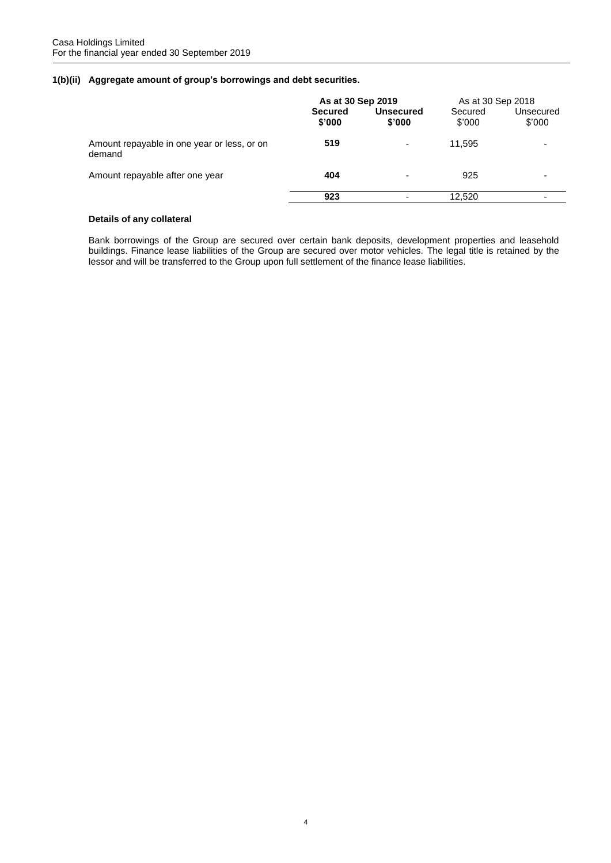# **1(b)(ii) Aggregate amount of group's borrowings and debt securities.**

|                                                       | As at 30 Sep 2019        |                            | As at 30 Sep 2018 |                     |
|-------------------------------------------------------|--------------------------|----------------------------|-------------------|---------------------|
|                                                       | <b>Secured</b><br>\$'000 | <b>Unsecured</b><br>\$'000 | Secured<br>\$'000 | Unsecured<br>\$'000 |
| Amount repayable in one year or less, or on<br>demand | 519                      | $\overline{\phantom{0}}$   | 11.595            | -                   |
| Amount repayable after one year                       | 404                      | $\overline{\phantom{0}}$   | 925               |                     |
|                                                       | 923                      |                            | 12,520            | -                   |

# **Details of any collateral**

Bank borrowings of the Group are secured over certain bank deposits, development properties and leasehold buildings. Finance lease liabilities of the Group are secured over motor vehicles. The legal title is retained by the lessor and will be transferred to the Group upon full settlement of the finance lease liabilities.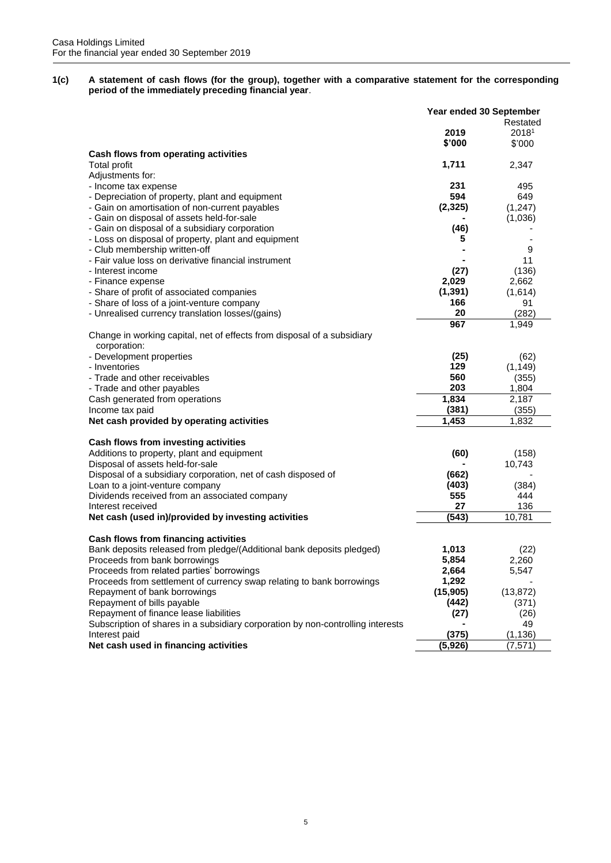**1(c) A statement of cash flows (for the group), together with a comparative statement for the corresponding period of the immediately preceding financial year**.

|                                                                                         | Year ended 30 September |           |  |
|-----------------------------------------------------------------------------------------|-------------------------|-----------|--|
|                                                                                         |                         | Restated  |  |
|                                                                                         | 2019                    | 20181     |  |
|                                                                                         | \$'000                  | \$'000    |  |
| Cash flows from operating activities                                                    |                         |           |  |
| <b>Total profit</b>                                                                     | 1,711                   | 2,347     |  |
| Adjustments for:                                                                        |                         |           |  |
| - Income tax expense                                                                    | 231                     | 495       |  |
| - Depreciation of property, plant and equipment                                         | 594                     | 649       |  |
| - Gain on amortisation of non-current payables                                          | (2, 325)                | (1, 247)  |  |
| - Gain on disposal of assets held-for-sale                                              |                         | (1,036)   |  |
| - Gain on disposal of a subsidiary corporation                                          | (46)                    |           |  |
| - Loss on disposal of property, plant and equipment                                     | 5                       |           |  |
| - Club membership written-off                                                           |                         | 9         |  |
| - Fair value loss on derivative financial instrument                                    |                         | 11        |  |
| - Interest income                                                                       | (27)                    | (136)     |  |
| - Finance expense                                                                       | 2,029                   | 2,662     |  |
| - Share of profit of associated companies                                               | (1, 391)                | (1,614)   |  |
| - Share of loss of a joint-venture company                                              | 166                     | 91        |  |
| - Unrealised currency translation losses/(gains)                                        | 20                      | (282)     |  |
|                                                                                         | 967                     | 1,949     |  |
|                                                                                         |                         |           |  |
| Change in working capital, net of effects from disposal of a subsidiary<br>corporation: |                         |           |  |
| - Development properties                                                                | (25)                    | (62)      |  |
| - Inventories                                                                           | 129                     | (1, 149)  |  |
| - Trade and other receivables                                                           | 560                     |           |  |
|                                                                                         | 203                     | (355)     |  |
| - Trade and other payables                                                              |                         | 1,804     |  |
| Cash generated from operations                                                          | 1,834                   | 2,187     |  |
| Income tax paid                                                                         | (381)                   | (355)     |  |
| Net cash provided by operating activities                                               | 1,453                   | 1,832     |  |
|                                                                                         |                         |           |  |
| Cash flows from investing activities                                                    |                         |           |  |
| Additions to property, plant and equipment                                              | (60)                    | (158)     |  |
| Disposal of assets held-for-sale                                                        |                         | 10,743    |  |
| Disposal of a subsidiary corporation, net of cash disposed of                           | (662)                   |           |  |
| Loan to a joint-venture company                                                         | (403)                   | (384)     |  |
| Dividends received from an associated company                                           | 555                     | 444       |  |
| Interest received                                                                       | 27                      | 136       |  |
| Net cash (used in)/provided by investing activities                                     | (543)                   | 10,781    |  |
|                                                                                         |                         |           |  |
| Cash flows from financing activities                                                    |                         |           |  |
| Bank deposits released from pledge/(Additional bank deposits pledged)                   | 1,013                   | (22)      |  |
| Proceeds from bank borrowings                                                           | 5,854                   | 2,260     |  |
| Proceeds from related parties' borrowings                                               | 2,664                   | 5,547     |  |
| Proceeds from settlement of currency swap relating to bank borrowings                   | 1,292                   |           |  |
| Repayment of bank borrowings                                                            | (15, 905)               | (13, 872) |  |
| Repayment of bills payable                                                              | (442)                   | (371)     |  |
| Repayment of finance lease liabilities                                                  | (27)                    | (26)      |  |
| Subscription of shares in a subsidiary corporation by non-controlling interests         |                         | 49        |  |
| Interest paid                                                                           | (375)                   | (1, 136)  |  |
| Net cash used in financing activities                                                   | (5,926)                 | (7, 571)  |  |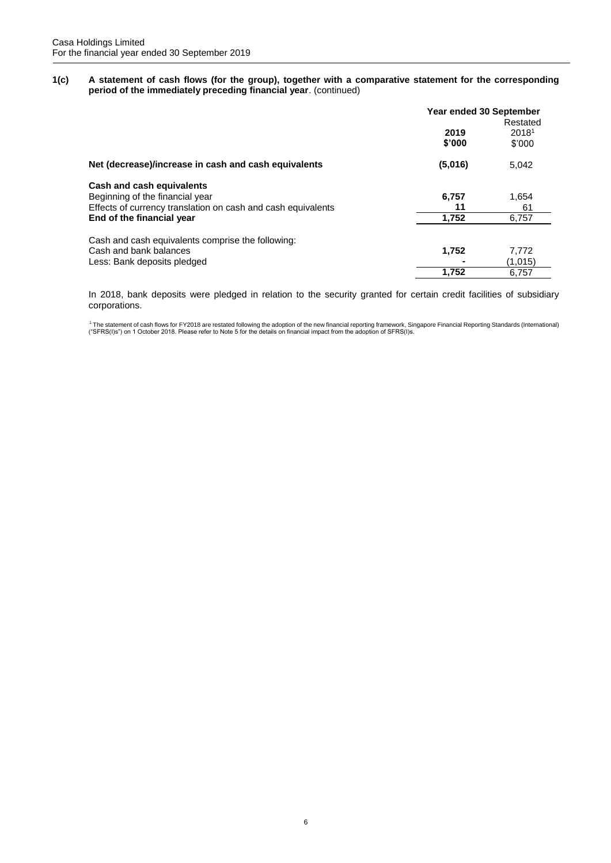**1(c) A statement of cash flows (for the group), together with a comparative statement for the corresponding period of the immediately preceding financial year**. (continued)

|                                                              | Year ended 30 September<br>Restated |                             |  |
|--------------------------------------------------------------|-------------------------------------|-----------------------------|--|
|                                                              | 2019<br>\$'000                      | 2018 <sup>1</sup><br>\$'000 |  |
| Net (decrease)/increase in cash and cash equivalents         | (5,016)                             | 5,042                       |  |
| Cash and cash equivalents                                    |                                     |                             |  |
| Beginning of the financial year                              | 6,757                               | 1,654                       |  |
| Effects of currency translation on cash and cash equivalents | 11                                  | 61                          |  |
| End of the financial year                                    | 1,752                               | 6,757                       |  |
| Cash and cash equivalents comprise the following:            |                                     |                             |  |
| Cash and bank balances                                       | 1,752                               | 7,772                       |  |
| Less: Bank deposits pledged                                  |                                     | (1,015)                     |  |
|                                                              | 1,752                               | 6,757                       |  |

In 2018, bank deposits were pledged in relation to the security granted for certain credit facilities of subsidiary corporations.

1 The statement of cash flows for FY2018 are restated following the adoption of the new financial reporting framework, Singapore Financial Reporting Standards (International)<br>("SFRS(I)s") on 1 October 2018. Please refer to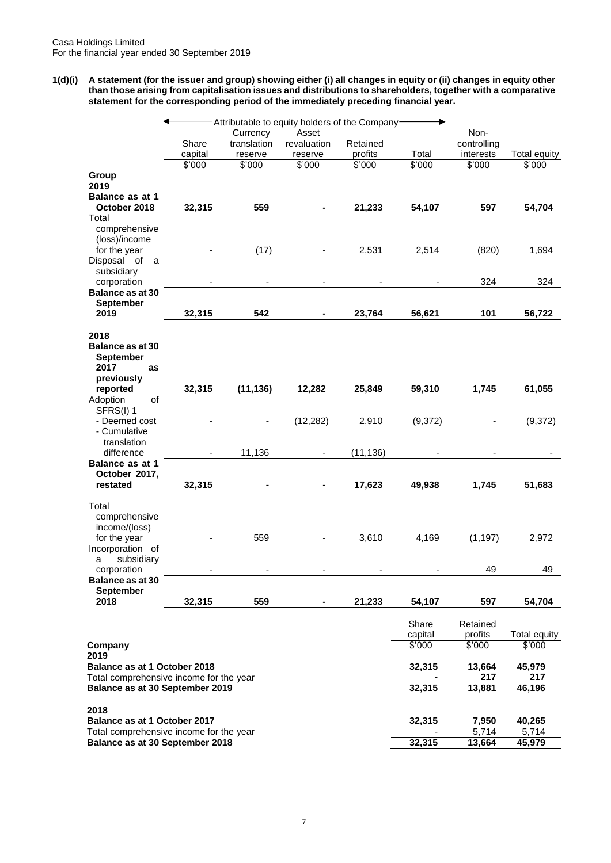**1(d)(i) A statement (for the issuer and group) showing either (i) all changes in equity or (ii) changes in equity other than those arising from capitalisation issues and distributions to shareholders, together with a comparative statement for the corresponding period of the immediately preceding financial year.**

|                                                                          |                   | Currency    | Attributable to equity holders of the Company<br>Asset |                   |                  | Non-                |               |
|--------------------------------------------------------------------------|-------------------|-------------|--------------------------------------------------------|-------------------|------------------|---------------------|---------------|
|                                                                          | Share             | translation | revaluation                                            | Retained          |                  | controlling         |               |
|                                                                          | capital<br>\$'000 | reserve     | reserve<br>\$'000                                      | profits<br>\$'000 | Total<br>\$'000  | interests           | Total equity  |
| Group<br>2019                                                            |                   | \$'000      |                                                        |                   |                  | \$'000              | \$'000        |
| Balance as at 1<br>October 2018<br>Total                                 | 32,315            | 559         |                                                        | 21,233            | 54,107           | 597                 | 54,704        |
| comprehensive<br>(loss)/income<br>for the year                           |                   | (17)        |                                                        | 2,531             | 2,514            | (820)               | 1,694         |
| Disposal of<br>a<br>subsidiary<br>corporation                            |                   |             |                                                        |                   |                  | 324                 | 324           |
| Balance as at 30                                                         |                   |             |                                                        |                   |                  |                     |               |
| <b>September</b><br>2019                                                 | 32,315            | 542         | ٠                                                      | 23,764            | 56,621           | 101                 | 56,722        |
| 2018<br><b>Balance as at 30</b><br>September<br>2017<br>as<br>previously |                   |             |                                                        |                   |                  |                     |               |
| reported<br>of<br>Adoption<br>SFRS(I) 1                                  | 32,315            | (11, 136)   | 12,282                                                 | 25,849            | 59,310           | 1,745               | 61,055        |
| - Deemed cost<br>- Cumulative                                            |                   |             | (12, 282)                                              | 2,910             | (9,372)          |                     | (9,372)       |
| translation<br>difference                                                |                   | 11,136      |                                                        | (11, 136)         |                  |                     |               |
| <b>Balance as at 1</b><br>October 2017,<br>restated                      | 32,315            |             |                                                        | 17,623            | 49,938           | 1,745               | 51,683        |
| Total<br>comprehensive<br>income/(loss)<br>for the year                  |                   | 559         |                                                        | 3,610             | 4,169            | (1, 197)            | 2,972         |
| Incorporation of<br>subsidiary<br>a<br>corporation                       |                   |             |                                                        |                   |                  | 49                  | 49            |
| <b>Balance as at 30</b>                                                  |                   |             |                                                        |                   |                  |                     |               |
| <b>September</b><br>2018                                                 | 32,315            | 559         | ۰                                                      | 21,233            | 54,107           | 597                 | 54,704        |
|                                                                          |                   |             |                                                        |                   | Share<br>capital | Retained<br>profits | Total equity  |
| Company<br>2019                                                          |                   |             |                                                        |                   | \$'000           | \$'000              | \$'000        |
| Balance as at 1 October 2018<br>Total comprehensive income for the year  |                   |             |                                                        |                   | 32,315           | 13,664<br>217       | 45,979<br>217 |
| Balance as at 30 September 2019                                          |                   |             |                                                        |                   | 32,315           | 13,881              | 46,196        |
| 2018<br>Balance as at 1 October 2017                                     |                   |             |                                                        |                   | 32,315           | 7,950               | 40,265        |
| Total comprehensive income for the year                                  |                   |             |                                                        |                   |                  | 5,714               | 5,714         |
| Balance as at 30 September 2018                                          |                   |             |                                                        |                   | 32,315           | 13,664              | 45,979        |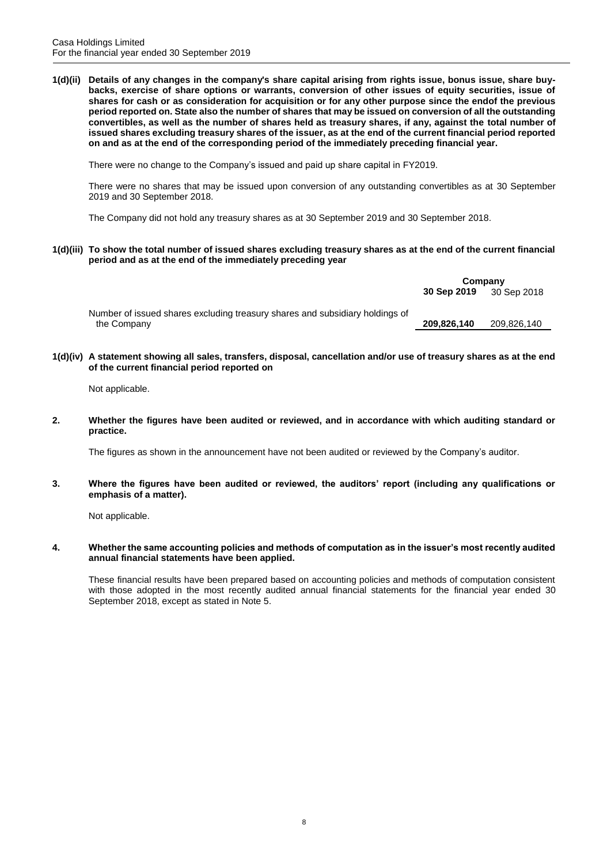**1(d)(ii) Details of any changes in the company's share capital arising from rights issue, bonus issue, share buybacks, exercise of share options or warrants, conversion of other issues of equity securities, issue of shares for cash or as consideration for acquisition or for any other purpose since the endof the previous period reported on. State also the number of shares that may be issued on conversion of all the outstanding convertibles, as well as the number of shares held as treasury shares, if any, against the total number of issued shares excluding treasury shares of the issuer, as at the end of the current financial period reported on and as at the end of the corresponding period of the immediately preceding financial year.**

There were no change to the Company's issued and paid up share capital in FY2019.

There were no shares that may be issued upon conversion of any outstanding convertibles as at 30 September 2019 and 30 September 2018.

The Company did not hold any treasury shares as at 30 September 2019 and 30 September 2018.

**1(d)(iii) To show the total number of issued shares excluding treasury shares as at the end of the current financial period and as at the end of the immediately preceding year**

|                                                                              | Company     |             |
|------------------------------------------------------------------------------|-------------|-------------|
|                                                                              | 30 Sep 2019 | 30 Sep 2018 |
| Number of issued shares excluding treasury shares and subsidiary holdings of |             |             |
| the Company                                                                  | 209.826.140 | 209.826.140 |

**1(d)(iv) A statement showing all sales, transfers, disposal, cancellation and/or use of treasury shares as at the end of the current financial period reported on**

Not applicable.

**2. Whether the figures have been audited or reviewed, and in accordance with which auditing standard or practice.**

The figures as shown in the announcement have not been audited or reviewed by the Company's auditor.

**3. Where the figures have been audited or reviewed, the auditors' report (including any qualifications or emphasis of a matter).**

Not applicable.

**4. Whether the same accounting policies and methods of computation as in the issuer's most recently audited annual financial statements have been applied.**

These financial results have been prepared based on accounting policies and methods of computation consistent with those adopted in the most recently audited annual financial statements for the financial year ended 30 September 2018, except as stated in Note 5.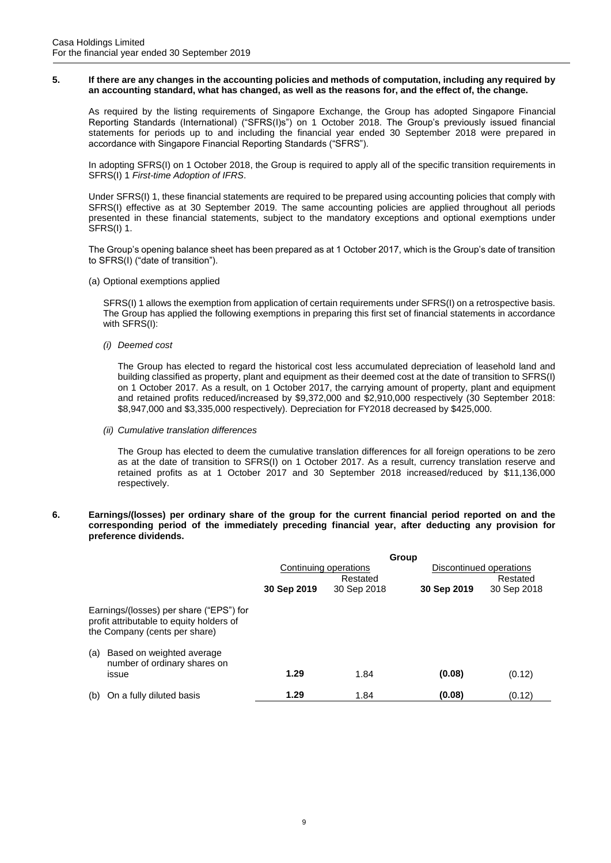#### **5. If there are any changes in the accounting policies and methods of computation, including any required by an accounting standard, what has changed, as well as the reasons for, and the effect of, the change.**

As required by the listing requirements of Singapore Exchange, the Group has adopted Singapore Financial Reporting Standards (International) ("SFRS(I)s") on 1 October 2018. The Group's previously issued financial statements for periods up to and including the financial year ended 30 September 2018 were prepared in accordance with Singapore Financial Reporting Standards ("SFRS").

In adopting SFRS(I) on 1 October 2018, the Group is required to apply all of the specific transition requirements in SFRS(I) 1 *First-time Adoption of IFRS*.

Under SFRS(I) 1, these financial statements are required to be prepared using accounting policies that comply with SFRS(I) effective as at 30 September 2019. The same accounting policies are applied throughout all periods presented in these financial statements, subject to the mandatory exceptions and optional exemptions under SFRS(I) 1.

The Group's opening balance sheet has been prepared as at 1 October 2017, which is the Group's date of transition to SFRS(I) ("date of transition").

(a) Optional exemptions applied

SFRS(I) 1 allows the exemption from application of certain requirements under SFRS(I) on a retrospective basis. The Group has applied the following exemptions in preparing this first set of financial statements in accordance with SFRS(I):

*(i) Deemed cost*

The Group has elected to regard the historical cost less accumulated depreciation of leasehold land and building classified as property, plant and equipment as their deemed cost at the date of transition to SFRS(I) on 1 October 2017. As a result, on 1 October 2017, the carrying amount of property, plant and equipment and retained profits reduced/increased by \$9,372,000 and \$2,910,000 respectively (30 September 2018: \$8,947,000 and \$3,335,000 respectively). Depreciation for FY2018 decreased by \$425,000.

*(ii) Cumulative translation differences*

The Group has elected to deem the cumulative translation differences for all foreign operations to be zero as at the date of transition to SFRS(I) on 1 October 2017. As a result, currency translation reserve and retained profits as at 1 October 2017 and 30 September 2018 increased/reduced by \$11,136,000 respectively.

# **6. Earnings/(losses) per ordinary share of the group for the current financial period reported on and the corresponding period of the immediately preceding financial year, after deducting any provision for preference dividends.**

|     |                                                                                                                      | Group                             |             |             |                                     |  |
|-----|----------------------------------------------------------------------------------------------------------------------|-----------------------------------|-------------|-------------|-------------------------------------|--|
|     |                                                                                                                      | Continuing operations<br>Restated |             |             | Discontinued operations<br>Restated |  |
|     |                                                                                                                      | 30 Sep 2019                       | 30 Sep 2018 | 30 Sep 2019 | 30 Sep 2018                         |  |
|     | Earnings/(losses) per share ("EPS") for<br>profit attributable to equity holders of<br>the Company (cents per share) |                                   |             |             |                                     |  |
| (a) | Based on weighted average<br>number of ordinary shares on                                                            |                                   |             |             |                                     |  |
|     | issue                                                                                                                | 1.29                              | 1.84        | (0.08)      | (0.12)                              |  |
| (b) | On a fully diluted basis                                                                                             | 1.29                              | 1.84        | (0.08)      | (0.12)                              |  |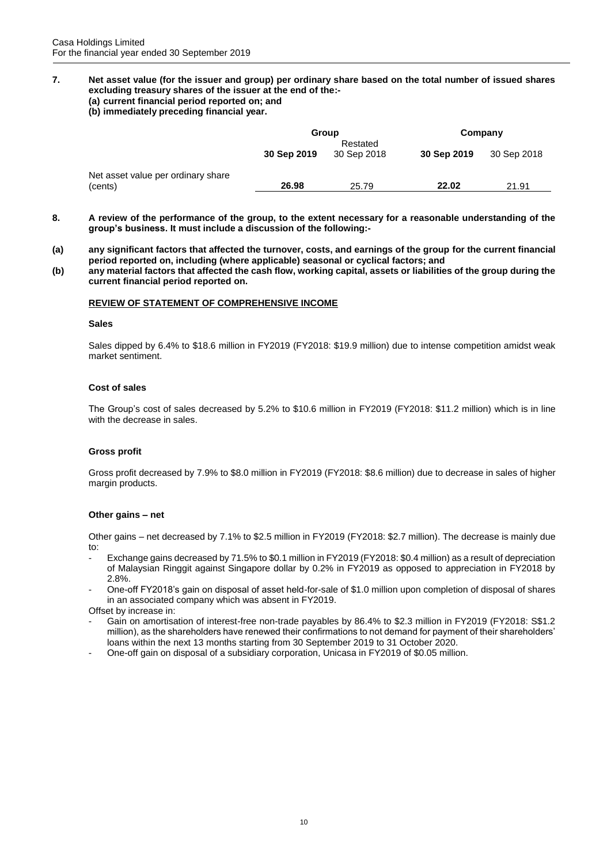# **7. Net asset value (for the issuer and group) per ordinary share based on the total number of issued shares excluding treasury shares of the issuer at the end of the:-**

# **(a) current financial period reported on; and**

**(b) immediately preceding financial year.**

|                                               | Group       |                         | Company     |             |
|-----------------------------------------------|-------------|-------------------------|-------------|-------------|
|                                               | 30 Sep 2019 | Restated<br>30 Sep 2018 | 30 Sep 2019 | 30 Sep 2018 |
| Net asset value per ordinary share<br>(cents) | 26.98       | 25.79                   | 22.02       | 21.91       |

- **8. A review of the performance of the group, to the extent necessary for a reasonable understanding of the group's business. It must include a discussion of the following:-**
- **(a) any significant factors that affected the turnover, costs, and earnings of the group for the current financial period reported on, including (where applicable) seasonal or cyclical factors; and**
- **(b) any material factors that affected the cash flow, working capital, assets or liabilities of the group during the current financial period reported on.**

# **REVIEW OF STATEMENT OF COMPREHENSIVE INCOME**

#### **Sales**

Sales dipped by 6.4% to \$18.6 million in FY2019 (FY2018: \$19.9 million) due to intense competition amidst weak market sentiment.

# **Cost of sales**

The Group's cost of sales decreased by 5.2% to \$10.6 million in FY2019 (FY2018: \$11.2 million) which is in line with the decrease in sales.

# **Gross profit**

Gross profit decreased by 7.9% to \$8.0 million in FY2019 (FY2018: \$8.6 million) due to decrease in sales of higher margin products.

# **Other gains – net**

Other gains – net decreased by 7.1% to \$2.5 million in FY2019 (FY2018: \$2.7 million). The decrease is mainly due to:

- Exchange gains decreased by 71.5% to \$0.1 million in FY2019 (FY2018: \$0.4 million) as a result of depreciation of Malaysian Ringgit against Singapore dollar by 0.2% in FY2019 as opposed to appreciation in FY2018 by 2.8%.
- One-off FY2018's gain on disposal of asset held-for-sale of \$1.0 million upon completion of disposal of shares in an associated company which was absent in FY2019.

Offset by increase in:

- Gain on amortisation of interest-free non-trade payables by 86.4% to \$2.3 million in FY2019 (FY2018: S\$1.2 million), as the shareholders have renewed their confirmations to not demand for payment of their shareholders' loans within the next 13 months starting from 30 September 2019 to 31 October 2020.
- One-off gain on disposal of a subsidiary corporation, Unicasa in FY2019 of \$0.05 million.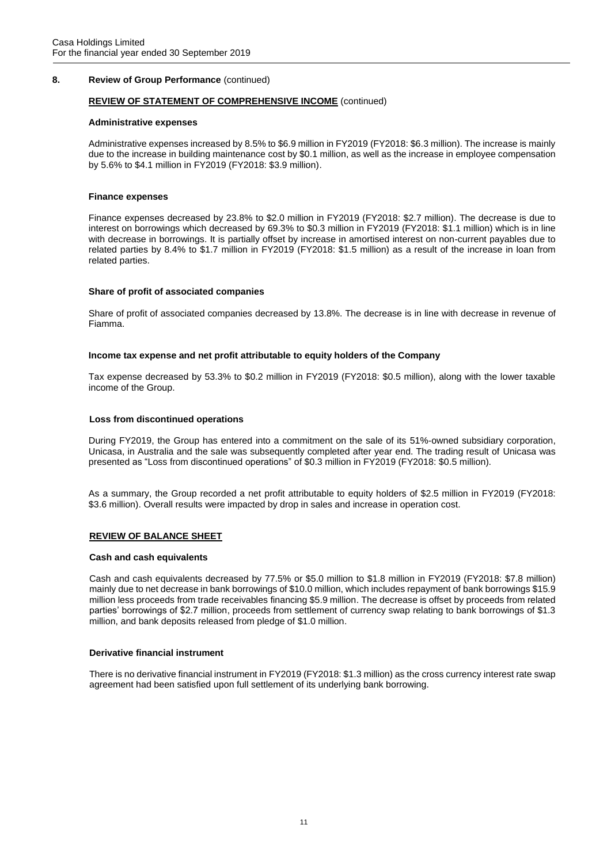# **8. Review of Group Performance** (continued)

# **REVIEW OF STATEMENT OF COMPREHENSIVE INCOME** (continued)

# **Administrative expenses**

Administrative expenses increased by 8.5% to \$6.9 million in FY2019 (FY2018: \$6.3 million). The increase is mainly due to the increase in building maintenance cost by \$0.1 million, as well as the increase in employee compensation by 5.6% to \$4.1 million in FY2019 (FY2018: \$3.9 million).

# **Finance expenses**

Finance expenses decreased by 23.8% to \$2.0 million in FY2019 (FY2018: \$2.7 million). The decrease is due to interest on borrowings which decreased by 69.3% to \$0.3 million in FY2019 (FY2018: \$1.1 million) which is in line with decrease in borrowings. It is partially offset by increase in amortised interest on non-current payables due to related parties by 8.4% to \$1.7 million in FY2019 (FY2018: \$1.5 million) as a result of the increase in loan from related parties.

# **Share of profit of associated companies**

Share of profit of associated companies decreased by 13.8%. The decrease is in line with decrease in revenue of Fiamma.

# **Income tax expense and net profit attributable to equity holders of the Company**

Tax expense decreased by 53.3% to \$0.2 million in FY2019 (FY2018: \$0.5 million), along with the lower taxable income of the Group.

# **Loss from discontinued operations**

During FY2019, the Group has entered into a commitment on the sale of its 51%-owned subsidiary corporation, Unicasa, in Australia and the sale was subsequently completed after year end. The trading result of Unicasa was presented as "Loss from discontinued operations" of \$0.3 million in FY2019 (FY2018: \$0.5 million).

As a summary, the Group recorded a net profit attributable to equity holders of \$2.5 million in FY2019 (FY2018: \$3.6 million). Overall results were impacted by drop in sales and increase in operation cost.

# **REVIEW OF BALANCE SHEET**

# **Cash and cash equivalents**

Cash and cash equivalents decreased by 77.5% or \$5.0 million to \$1.8 million in FY2019 (FY2018: \$7.8 million) mainly due to net decrease in bank borrowings of \$10.0 million, which includes repayment of bank borrowings \$15.9 million less proceeds from trade receivables financing \$5.9 million. The decrease is offset by proceeds from related parties' borrowings of \$2.7 million, proceeds from settlement of currency swap relating to bank borrowings of \$1.3 million, and bank deposits released from pledge of \$1.0 million.

# **Derivative financial instrument**

There is no derivative financial instrument in FY2019 (FY2018: \$1.3 million) as the cross currency interest rate swap agreement had been satisfied upon full settlement of its underlying bank borrowing.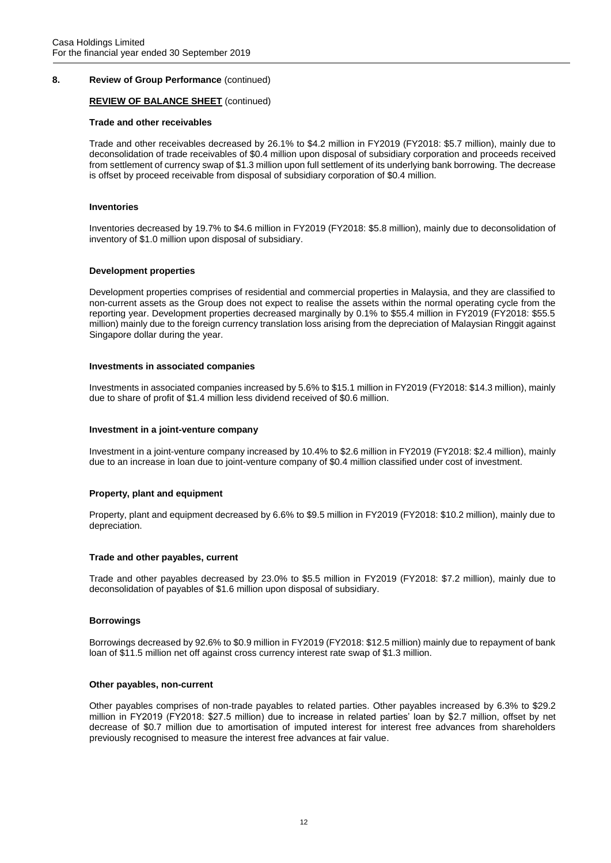# **8. Review of Group Performance** (continued)

# **REVIEW OF BALANCE SHEET** (continued)

#### **Trade and other receivables**

Trade and other receivables decreased by 26.1% to \$4.2 million in FY2019 (FY2018: \$5.7 million), mainly due to deconsolidation of trade receivables of \$0.4 million upon disposal of subsidiary corporation and proceeds received from settlement of currency swap of \$1.3 million upon full settlement of its underlying bank borrowing. The decrease is offset by proceed receivable from disposal of subsidiary corporation of \$0.4 million.

#### **Inventories**

Inventories decreased by 19.7% to \$4.6 million in FY2019 (FY2018: \$5.8 million), mainly due to deconsolidation of inventory of \$1.0 million upon disposal of subsidiary.

#### **Development properties**

Development properties comprises of residential and commercial properties in Malaysia, and they are classified to non-current assets as the Group does not expect to realise the assets within the normal operating cycle from the reporting year. Development properties decreased marginally by 0.1% to \$55.4 million in FY2019 (FY2018: \$55.5 million) mainly due to the foreign currency translation loss arising from the depreciation of Malaysian Ringgit against Singapore dollar during the year.

#### **Investments in associated companies**

Investments in associated companies increased by 5.6% to \$15.1 million in FY2019 (FY2018: \$14.3 million), mainly due to share of profit of \$1.4 million less dividend received of \$0.6 million.

### **Investment in a joint-venture company**

Investment in a joint-venture company increased by 10.4% to \$2.6 million in FY2019 (FY2018: \$2.4 million), mainly due to an increase in loan due to joint-venture company of \$0.4 million classified under cost of investment.

# **Property, plant and equipment**

Property, plant and equipment decreased by 6.6% to \$9.5 million in FY2019 (FY2018: \$10.2 million), mainly due to depreciation.

# **Trade and other payables, current**

Trade and other payables decreased by 23.0% to \$5.5 million in FY2019 (FY2018: \$7.2 million), mainly due to deconsolidation of payables of \$1.6 million upon disposal of subsidiary.

# **Borrowings**

Borrowings decreased by 92.6% to \$0.9 million in FY2019 (FY2018: \$12.5 million) mainly due to repayment of bank loan of \$11.5 million net off against cross currency interest rate swap of \$1.3 million.

#### **Other payables, non-current**

Other payables comprises of non-trade payables to related parties. Other payables increased by 6.3% to \$29.2 million in FY2019 (FY2018: \$27.5 million) due to increase in related parties' loan by \$2.7 million, offset by net decrease of \$0.7 million due to amortisation of imputed interest for interest free advances from shareholders previously recognised to measure the interest free advances at fair value.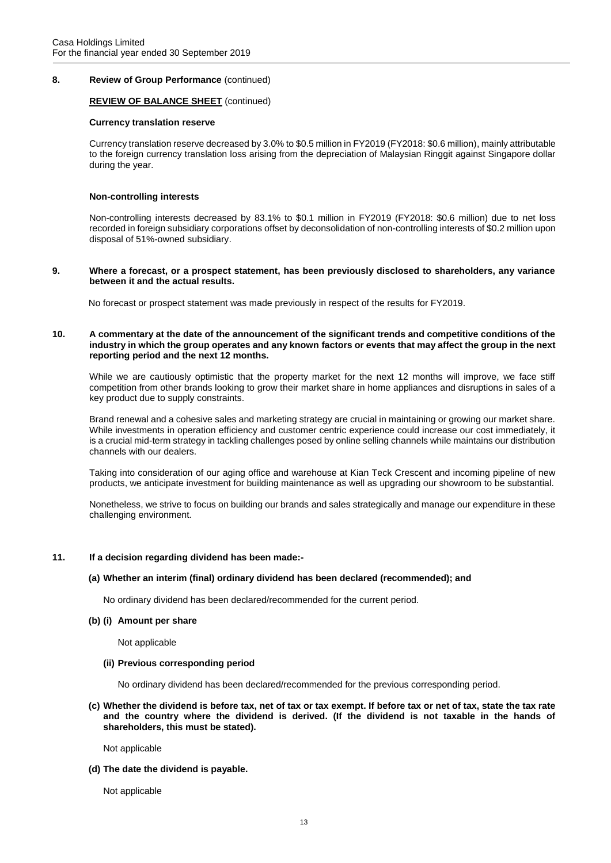# **8. Review of Group Performance** (continued)

# **REVIEW OF BALANCE SHEET** (continued)

#### **Currency translation reserve**

Currency translation reserve decreased by 3.0% to \$0.5 million in FY2019 (FY2018: \$0.6 million), mainly attributable to the foreign currency translation loss arising from the depreciation of Malaysian Ringgit against Singapore dollar during the year.

### **Non-controlling interests**

Non-controlling interests decreased by 83.1% to \$0.1 million in FY2019 (FY2018: \$0.6 million) due to net loss recorded in foreign subsidiary corporations offset by deconsolidation of non-controlling interests of \$0.2 million upon disposal of 51%-owned subsidiary.

### **9. Where a forecast, or a prospect statement, has been previously disclosed to shareholders, any variance between it and the actual results.**

No forecast or prospect statement was made previously in respect of the results for FY2019.

### **10. A commentary at the date of the announcement of the significant trends and competitive conditions of the industry in which the group operates and any known factors or events that may affect the group in the next reporting period and the next 12 months.**

While we are cautiously optimistic that the property market for the next 12 months will improve, we face stiff competition from other brands looking to grow their market share in home appliances and disruptions in sales of a key product due to supply constraints.

Brand renewal and a cohesive sales and marketing strategy are crucial in maintaining or growing our market share. While investments in operation efficiency and customer centric experience could increase our cost immediately, it is a crucial mid-term strategy in tackling challenges posed by online selling channels while maintains our distribution channels with our dealers.

Taking into consideration of our aging office and warehouse at Kian Teck Crescent and incoming pipeline of new products, we anticipate investment for building maintenance as well as upgrading our showroom to be substantial.

Nonetheless, we strive to focus on building our brands and sales strategically and manage our expenditure in these challenging environment.

# **11. If a decision regarding dividend has been made:-**

# **(a) Whether an interim (final) ordinary dividend has been declared (recommended); and**

No ordinary dividend has been declared/recommended for the current period.

#### **(b) (i) Amount per share**

Not applicable

#### **(ii) Previous corresponding period**

No ordinary dividend has been declared/recommended for the previous corresponding period.

**(c) Whether the dividend is before tax, net of tax or tax exempt. If before tax or net of tax, state the tax rate and the country where the dividend is derived. (If the dividend is not taxable in the hands of shareholders, this must be stated).**

Not applicable

**(d) The date the dividend is payable.**

Not applicable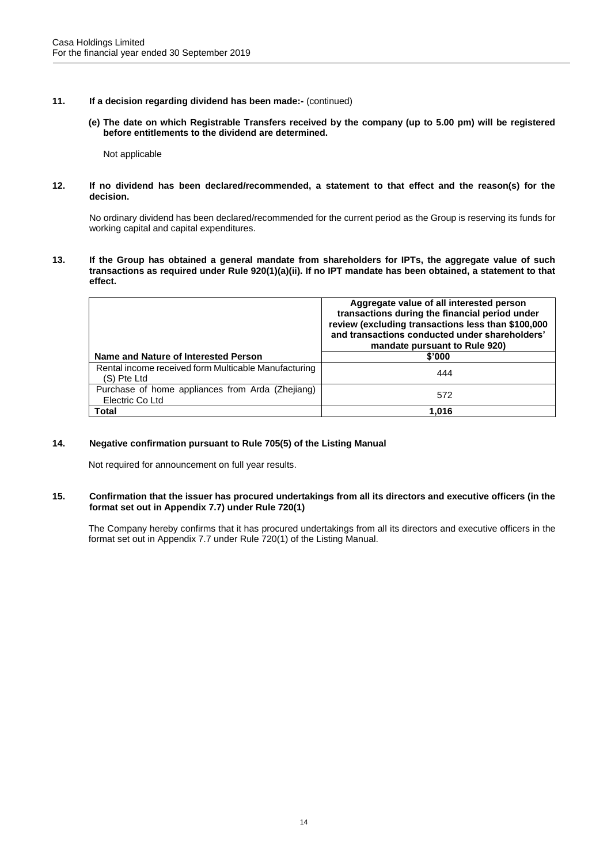- **11. If a decision regarding dividend has been made:-** (continued)
	- **(e) The date on which Registrable Transfers received by the company (up to 5.00 pm) will be registered before entitlements to the dividend are determined.**

Not applicable

### **12. If no dividend has been declared/recommended, a statement to that effect and the reason(s) for the decision.**

No ordinary dividend has been declared/recommended for the current period as the Group is reserving its funds for working capital and capital expenditures.

**13. If the Group has obtained a general mandate from shareholders for IPTs, the aggregate value of such transactions as required under Rule 920(1)(a)(ii). If no IPT mandate has been obtained, a statement to that effect.**

|                                                                     | Aggregate value of all interested person<br>transactions during the financial period under<br>review (excluding transactions less than \$100,000<br>and transactions conducted under shareholders'<br>mandate pursuant to Rule 920) |
|---------------------------------------------------------------------|-------------------------------------------------------------------------------------------------------------------------------------------------------------------------------------------------------------------------------------|
| Name and Nature of Interested Person                                | \$'000                                                                                                                                                                                                                              |
| Rental income received form Multicable Manufacturing<br>(S) Pte Ltd | 444                                                                                                                                                                                                                                 |
| Purchase of home appliances from Arda (Zhejiang)<br>Electric Co Ltd | 572                                                                                                                                                                                                                                 |
| <b>Total</b>                                                        | 1.016                                                                                                                                                                                                                               |

# **14. Negative confirmation pursuant to Rule 705(5) of the Listing Manual**

Not required for announcement on full year results.

# **15. Confirmation that the issuer has procured undertakings from all its directors and executive officers (in the format set out in Appendix 7.7) under Rule 720(1)**

The Company hereby confirms that it has procured undertakings from all its directors and executive officers in the format set out in Appendix 7.7 under Rule 720(1) of the Listing Manual.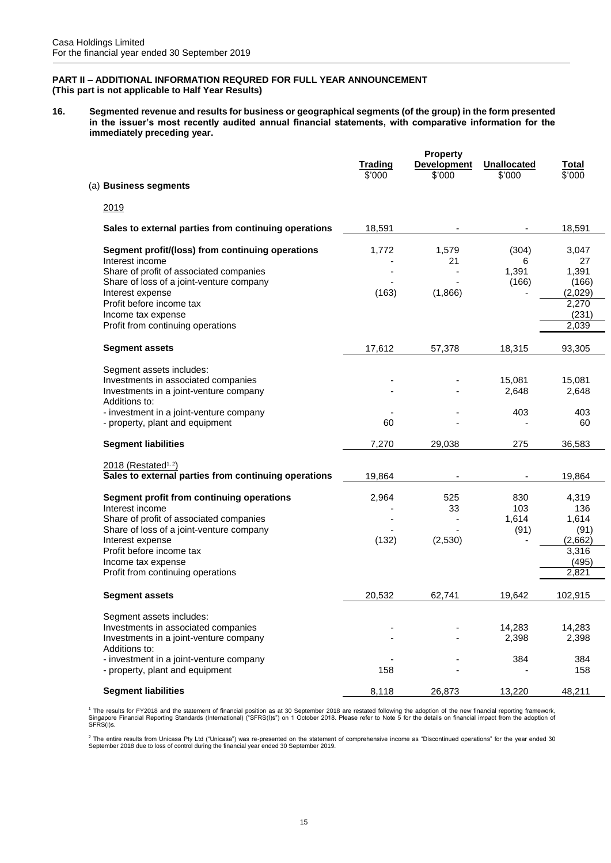# **PART II – ADDITIONAL INFORMATION REQURED FOR FULL YEAR ANNOUNCEMENT (This part is not applicable to Half Year Results)**

**16. Segmented revenue and results for business or geographical segments (of the group) in the form presented in the issuer's most recently audited annual financial statements, with comparative information for the immediately preceding year.**

| (a) Business segments                                                                                                                                                                                                                                                 | <b>Trading</b><br>\$'000 | <b>Property</b><br><b>Development</b><br>\$'000 | <b>Unallocated</b><br>\$'000 | Total<br>\$'000                                                     |
|-----------------------------------------------------------------------------------------------------------------------------------------------------------------------------------------------------------------------------------------------------------------------|--------------------------|-------------------------------------------------|------------------------------|---------------------------------------------------------------------|
|                                                                                                                                                                                                                                                                       |                          |                                                 |                              |                                                                     |
| 2019                                                                                                                                                                                                                                                                  |                          |                                                 |                              |                                                                     |
| Sales to external parties from continuing operations                                                                                                                                                                                                                  | 18,591                   |                                                 |                              | 18,591                                                              |
| Segment profit/(loss) from continuing operations<br>Interest income<br>Share of profit of associated companies<br>Share of loss of a joint-venture company<br>Interest expense<br>Profit before income tax<br>Income tax expense<br>Profit from continuing operations | 1,772<br>(163)           | 1,579<br>21<br>(1,866)                          | (304)<br>6<br>1,391<br>(166) | 3,047<br>27<br>1,391<br>(166)<br>(2,029)<br>2,270<br>(231)<br>2,039 |
| <b>Segment assets</b>                                                                                                                                                                                                                                                 | 17,612                   | 57,378                                          | 18,315                       | 93,305                                                              |
| Segment assets includes:<br>Investments in associated companies<br>Investments in a joint-venture company<br>Additions to:<br>- investment in a joint-venture company<br>- property, plant and equipment                                                              | 60                       |                                                 | 15,081<br>2,648<br>403       | 15,081<br>2,648<br>403<br>60                                        |
| <b>Segment liabilities</b>                                                                                                                                                                                                                                            | 7,270                    | 29,038                                          | 275                          | 36,583                                                              |
| $2018$ (Restated <sup>1, 2</sup> )<br>Sales to external parties from continuing operations                                                                                                                                                                            | 19,864                   |                                                 |                              | 19,864                                                              |
| Segment profit from continuing operations<br>Interest income<br>Share of profit of associated companies<br>Share of loss of a joint-venture company<br>Interest expense<br>Profit before income tax<br>Income tax expense<br>Profit from continuing operations        | 2,964<br>(132)           | 525<br>33<br>(2,530)                            | 830<br>103<br>1,614<br>(91)  | 4,319<br>136<br>1,614<br>(91)<br>(2,662)<br>3,316<br>(495)<br>2,821 |
| <b>Segment assets</b>                                                                                                                                                                                                                                                 | 20,532                   | 62,741                                          | 19,642                       | 102,915                                                             |
| Segment assets includes:<br>Investments in associated companies<br>Investments in a joint-venture company<br>Additions to:<br>- investment in a joint-venture company                                                                                                 |                          |                                                 | 14,283<br>2,398<br>384       | 14,283<br>2,398<br>384                                              |
| - property, plant and equipment                                                                                                                                                                                                                                       | 158                      |                                                 |                              | 158                                                                 |
| <b>Segment liabilities</b>                                                                                                                                                                                                                                            | 8,118                    | 26,873                                          | 13,220                       | 48,211                                                              |

<sup>1</sup> The results for FY2018 and the statement of financial position as at 30 September 2018 are restated following the adoption of the new financial reporting framework,<br>Singapore Financial Reporting Standards (Internationa

<sup>2</sup> The entire results from Unicasa Pty Ltd ("Unicasa") was re-presented on the statement of comprehensive income as "Discontinued operations" for the year ended 30<br>September 2018 due to loss of control during the financia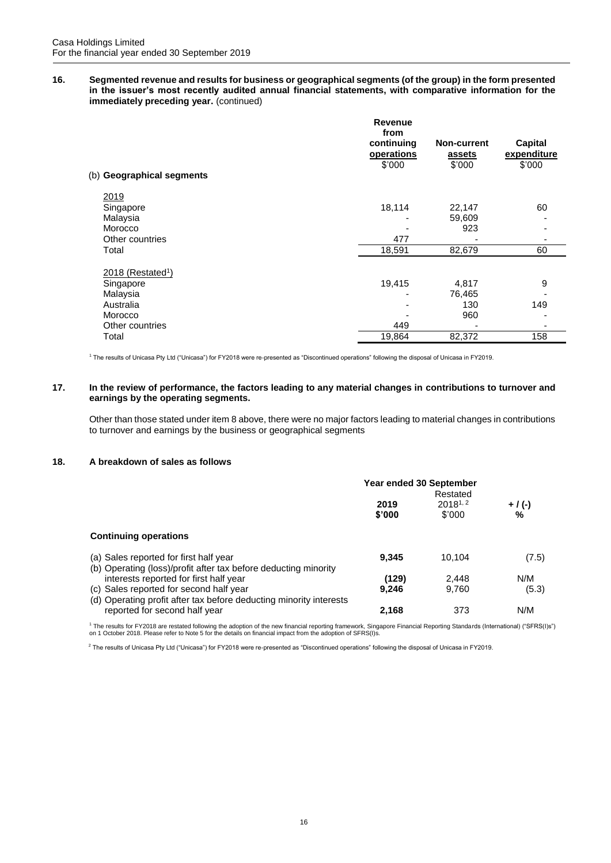**16. Segmented revenue and results for business or geographical segments (of the group) in the form presented in the issuer's most recently audited annual financial statements, with comparative information for the immediately preceding year.** (continued)

|                               | <b>Revenue</b><br>from   |                       |                        |
|-------------------------------|--------------------------|-----------------------|------------------------|
|                               | continuing<br>operations | Non-current<br>assets | Capital<br>expenditure |
|                               | \$'000                   | \$'000                | \$'000                 |
| (b) Geographical segments     |                          |                       |                        |
| 2019                          |                          |                       |                        |
| Singapore                     | 18,114                   | 22,147                | 60                     |
| Malaysia                      |                          | 59,609                |                        |
| Morocco                       |                          | 923                   |                        |
| Other countries               | 477                      |                       |                        |
| Total                         | 18,591                   | 82,679                | 60                     |
| 2018 (Restated <sup>1</sup> ) |                          |                       |                        |
| Singapore                     | 19,415                   | 4,817                 | 9                      |
| Malaysia                      |                          | 76,465                |                        |
| Australia                     |                          | 130                   | 149                    |
| Morocco                       |                          | 960                   |                        |
| Other countries               | 449                      |                       |                        |
| Total                         | 19,864                   | 82,372                | 158                    |

<sup>1</sup> The results of Unicasa Pty Ltd ("Unicasa") for FY2018 were re-presented as "Discontinued operations" following the disposal of Unicasa in FY2019.

# **17. In the review of performance, the factors leading to any material changes in contributions to turnover and earnings by the operating segments.**

Other than those stated under item 8 above, there were no major factors leading to material changes in contributions to turnover and earnings by the business or geographical segments

# **18. A breakdown of sales as follows**

|                                                                                                               | Year ended 30 September<br>Restated |                        |                |
|---------------------------------------------------------------------------------------------------------------|-------------------------------------|------------------------|----------------|
|                                                                                                               | 2019<br>\$'000                      | $2018^{1,2}$<br>\$'000 | $+$ / (-)<br>% |
| <b>Continuing operations</b>                                                                                  |                                     |                        |                |
| (a) Sales reported for first half year<br>(b) Operating (loss)/profit after tax before deducting minority     | 9,345                               | 10.104                 | (7.5)          |
| interests reported for first half year                                                                        | (129)                               | 2.448                  | N/M            |
| (c) Sales reported for second half year<br>(d) Operating profit after tax before deducting minority interests | 9.246                               | 9.760                  | (5.3)          |
| reported for second half year                                                                                 | 2,168                               | 373                    | N/M            |

<sup>1</sup> The results for FY2018 are restated following the adoption of the new financial reporting framework, Singapore Financial Reporting Standards (International) ("SFRS(I)s")<br>on 1 October 2018. Please refer to Note 5 for th

<sup>2</sup> The results of Unicasa Pty Ltd ("Unicasa") for FY2018 were re-presented as "Discontinued operations" following the disposal of Unicasa in FY2019.